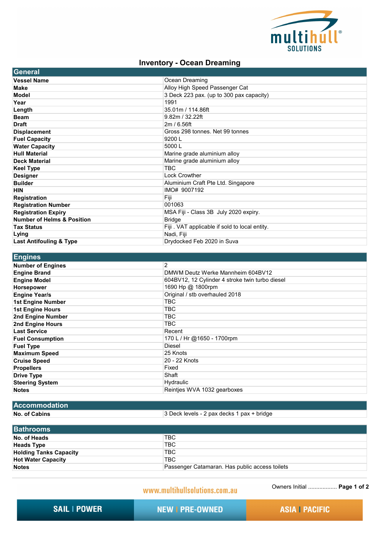

## **Inventory - Ocean Dreaming**

| General                               |                                               |
|---------------------------------------|-----------------------------------------------|
| <b>Vessel Name</b>                    | Ocean Dreaming                                |
| <b>Make</b>                           | Alloy High Speed Passenger Cat                |
| Model                                 | 3 Deck 223 pax. (up to 300 pax capacity)      |
| Year                                  | 1991                                          |
| Length                                | 35.01m / 114.86ft                             |
| <b>Beam</b>                           | 9.82m / 32.22ft                               |
| <b>Draft</b>                          | 2m/6.56ft                                     |
| <b>Displacement</b>                   | Gross 298 tonnes. Net 99 tonnes               |
| <b>Fuel Capacity</b>                  | 9200L                                         |
| <b>Water Capacity</b>                 | 5000L                                         |
| <b>Hull Material</b>                  | Marine grade aluminium alloy                  |
| <b>Deck Material</b>                  | Marine grade aluminium alloy                  |
| <b>Keel Type</b>                      | <b>TBC</b>                                    |
| <b>Designer</b>                       | <b>Lock Crowther</b>                          |
| <b>Builder</b>                        | Aluminium Craft Pte Ltd. Singapore            |
| <b>HIN</b>                            | IMO# 9007192                                  |
| <b>Registration</b>                   | Fiji                                          |
| <b>Registration Number</b>            | 001063                                        |
| <b>Registration Expiry</b>            | MSA Fiji - Class 3B July 2020 expiry.         |
| <b>Number of Helms &amp; Position</b> | <b>Bridge</b>                                 |
| <b>Tax Status</b>                     | Fiji. VAT applicable if sold to local entity. |
| Lying                                 | Nadi, Fiji                                    |
| <b>Last Antifouling &amp; Type</b>    | Drydocked Feb 2020 in Suva                    |

| <u> Engines</u>          |                                                 |
|--------------------------|-------------------------------------------------|
| <b>Number of Engines</b> | 2                                               |
| <b>Engine Brand</b>      | DMWM Deutz Werke Mannheim 604BV12               |
| <b>Engine Model</b>      | 604BV12, 12 Cylinder 4 stroke twin turbo diesel |
| Horsepower               | 1690 Hp @ 1800rpm                               |
| <b>Engine Year/s</b>     | Original / stb overhauled 2018                  |
| <b>1st Engine Number</b> | <b>TBC</b>                                      |
| <b>1st Engine Hours</b>  | <b>TBC</b>                                      |
| 2nd Engine Number        | TBC                                             |
| 2nd Engine Hours         | TBC                                             |
| <b>Last Service</b>      | Recent                                          |
| <b>Fuel Consumption</b>  | 170 L / Hr @1650 - 1700rpm                      |
| <b>Fuel Type</b>         | Diesel                                          |
| <b>Maximum Speed</b>     | 25 Knots                                        |
| <b>Cruise Speed</b>      | 20 - 22 Knots                                   |
| <b>Propellers</b>        | Fixed                                           |
| <b>Drive Type</b>        | Shaft                                           |
| <b>Steering System</b>   | Hydraulic                                       |
| <b>Notes</b>             | Reintjes WVA 1032 gearboxes                     |

## **No. of Cabins Accommodation**

3 Deck levels - 2 pax decks 1 pax + bridge

| <b>Bathrooms</b>              |                                                |
|-------------------------------|------------------------------------------------|
| No. of Heads                  | <b>TBC</b>                                     |
| <b>Heads Type</b>             | 'TBC                                           |
| <b>Holding Tanks Capacity</b> | <b>TBC</b>                                     |
| <b>Hot Water Capacity</b>     | <b>TBC</b>                                     |
| <b>Notes</b>                  | Passenger Catamaran. Has public access toilets |

www.multihullsolutions.com.au

Owners Initial .................. **Page 1 of 2**

**SAIL | POWER** 

**NEW | PRE-OWNED** 

**ASIA | PACIFIC**